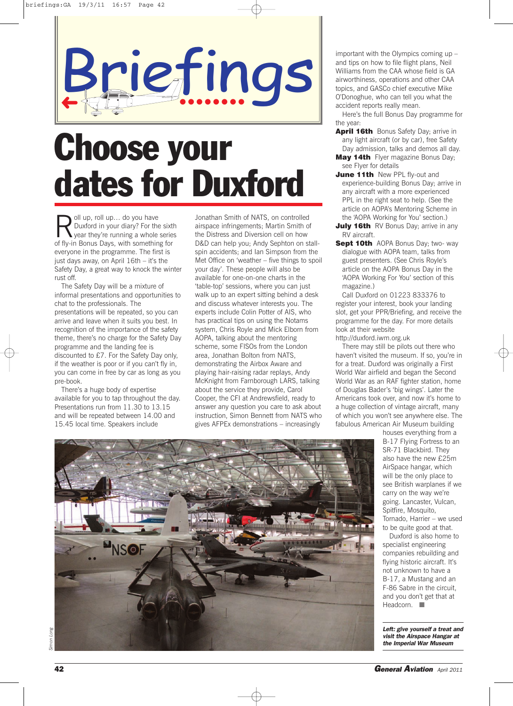

# **Choose your dates for Duxford**

oll up, roll up... do you have Duxford in your diary? For the sixth year they're running a whole series of fly-in Bonus Days, with something for everyone in the programme. The first is just days away, on April 16th – it's the Safety Day, a great way to knock the winter rust off.

The Safety Day will be a mixture of informal presentations and opportunities to chat to the professionals. The presentations will be repeated, so you can arrive and leave when it suits you best. In recognition of the importance of the safety theme, there's no charge for the Safety Day programme and the landing fee is discounted to £7. For the Safety Day only, if the weather is poor or if you can't fly in, you can come in free by car as long as you pre-book.

There's a huge body of expertise available for you to tap throughout the day. Presentations run from 11.30 to 13.15 and will be repeated between 14.00 and 15.45 local time. Speakers include

Jonathan Smith of NATS, on controlled airspace infringements; Martin Smith of the Distress and Diversion cell on how D&D can help you; Andy Sephton on stallspin accidents; and Ian Simpson from the Met Office on 'weather – five things to spoil your day'. These people will also be available for one-on-one charts in the 'table-top' sessions, where you can just walk up to an expert sitting behind a desk and discuss whatever interests you. The experts include Colin Potter of AIS, who has practical tips on using the Notams system, Chris Royle and Mick Elborn from AOPA, talking about the mentoring scheme, some FISOs from the London area, Jonathan Bolton from NATS, demonstrating the Airbox Aware and playing hair-raising radar replays, Andy McKnight from Farnborough LARS, talking about the service they provide, Carol Cooper, the CFI at Andrewsfield, ready to answer any question you care to ask about instruction, Simon Bennett from NATS who gives AFPEx demonstrations – increasingly

important with the Olympics coming up – and tips on how to file flight plans, Neil Williams from the CAA whose field is GA airworthiness, operations and other CAA topics, and GASCo chief executive Mike O'Donoghue, who can tell you what the accident reports really mean.

Here's the full Bonus Day programme for the year:

**April 16th** Bonus Safety Day; arrive in any light aircraft (or by car), free Safety Day admission, talks and demos all day.

**May 14th** Flyer magazine Bonus Day; see Flyer for details

- **June 11th** New PPL fly-out and experience-building Bonus Day; arrive in any aircraft with a more experienced PPL in the right seat to help. (See the article on AOPA's Mentoring Scheme in the 'AOPA Working for You' section.)
- **July 16th** RV Bonus Day: arrive in any RV aircraft.
- **Sept 10th** AOPA Bonus Day; two- way dialogue with AOPA team, talks from guest presenters. (See Chris Royle's article on the AOPA Bonus Day in the 'AOPA Working For You' section of this magazine.)

Call Duxford on 01223 833376 to register your interest, book your landing slot, get your PPR/Briefing, and receive the programme for the day. For more details look at their website

http://duxford.iwm.org.uk

There may still be pilots out there who haven't visited the museum. If so, you're in for a treat. Duxford was originally a First World War airfield and began the Second World War as an RAF fighter station, home of Douglas Bader's 'big wings'. Later the Americans took over, and now it's home to a huge collection of vintage aircraft, many of which you won't see anywhere else. The fabulous American Air Museum building

> B-17 Flying Fortress to an SR-71 Blackbird. They also have the new £25m AirSpace hangar, which will be the only place to see British warplanes if we carry on the way we're going. Lancaster, Vulcan, Spitfire, Mosquito, Tornado, Harrier – we used to be quite good at that. Duxford is also home to

houses everything from a

specialist engineering companies rebuilding and flying historic aircraft. It's not unknown to have a B-17, a Mustang and an F-86 Sabre in the circuit, and you don't get that at Headcorn.

*Left: give yourself a treat and visit the Airspace Hangar at the Imperial War Museum*

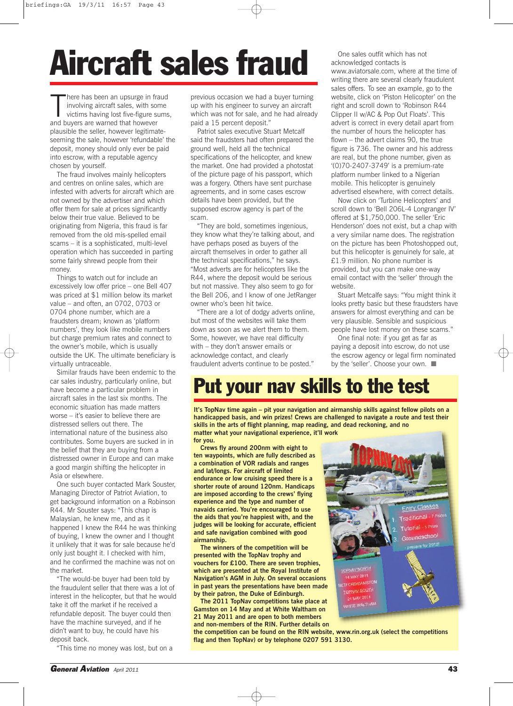## Aircraft sales fraud<br> **Aircraft sales fraud** *Mathoridate Sales Der Reserved Secontacts is*

There has been an upsurge in frimvolving aircraft sales, with so victims having lost five-figure s<br>and buyers are warned that however here has been an upsurge in fraud involving aircraft sales, with some victims having lost five-figure sums, plausible the seller, however legitimateseeming the sale, however 'refundable' the deposit, money should only ever be paid into escrow, with a reputable agency chosen by yourself.

The fraud involves mainly helicopters and centres on online sales, which are infested with adverts for aircraft which are not owned by the advertiser and which offer them for sale at prices significantly below their true value. Believed to be originating from Nigeria, this fraud is far removed from the old mis-spelled email scams – it is a sophisticated, multi-level operation which has succeeded in parting some fairly shrewd people from their money.

Things to watch out for include an excessively low offer price – one Bell 407 was priced at \$1 million below its market value – and often, an 0702, 0703 or 0704 phone number, which are a fraudsters dream; known as 'platform numbers', they look like mobile numbers but charge premium rates and connect to the owner's mobile, which is usually outside the UK. The ultimate beneficiary is virtually untraceable.

Similar frauds have been endemic to the car sales industry, particularly online, but have become a particular problem in aircraft sales in the last six months. The economic situation has made matters worse – it's easier to believe there are distressed sellers out there. The international nature of the business also contributes. Some buyers are sucked in in the belief that they are buying from a distressed owner in Europe and can make a good margin shifting the helicopter in Asia or elsewhere.

One such buyer contacted Mark Souster, Managing Director of Patriot Aviation, to get background information on a Robinson R44. Mr Souster says: "This chap is Malaysian, he knew me, and as it happened I knew the R44 he was thinking of buying, I knew the owner and I thought it unlikely that it was for sale because he'd only just bought it. I checked with him, and he confirmed the machine was not on the market.

"The would-be buyer had been told by the fraudulent seller that there was a lot of interest in the helicopter, but that he would take it off the market if he received a refundable deposit. The buyer could then have the machine surveyed, and if he didn't want to buy, he could have his deposit back.

"This time no money was lost, but on a

previous occasion we had a buyer turning up with his engineer to survey an aircraft which was not for sale, and he had already paid a 15 percent deposit."

Patriot sales executive Stuart Metcalf said the fraudsters had often prepared the ground well, held all the technical specifications of the helicopter, and knew the market. One had provided a photostat of the picture page of his passport, which was a forgery. Others have sent purchase agreements, and in some cases escrow details have been provided, but the supposed escrow agency is part of the scam.

"They are bold, sometimes ingenious, they know what they're talking about, and have perhaps posed as buyers of the aircraft themselves in order to gather all the technical specifications," he says. "Most adverts are for helicopters like the R44, where the deposit would be serious but not massive. They also seem to go for the Bell 206, and I know of one JetRanger owner who's been hit twice.

"There are a lot of dodgy adverts online, but most of the websites will take them down as soon as we alert them to them. Some, however, we have real difficulty with – they don't answer emails or acknowledge contact, and clearly fraudulent adverts continue to be posted."

acknowledged contacts is www.aviatorsale.com, where at the time of writing there are several clearly fraudulent sales offers. To see an example, go to the website, click on 'Piston Helicopter' on the right and scroll down to 'Robinson R44 Clipper II w/AC & Pop Out Floats'. This advert is correct in every detail apart from the number of hours the helicopter has flown – the advert claims 90, the true figure is 736. The owner and his address are real, but the phone number, given as '(0)70-2407-3749' is a premium-rate platform number linked to a Nigerian mobile. This helicopter is genuinely advertised elsewhere, with correct details.

Now click on 'Turbine Helicopters' and scroll down to 'Bell 206L-4 Longranger IV' offered at \$1,750,000. The seller 'Eric Henderson' does not exist, but a chap with a very similar name does. The registration on the picture has been Photoshopped out, but this helicopter is genuinely for sale, at £1.9 million. No phone number is provided, but you can make one-way email contact with the 'seller' through the website.

Stuart Metcalfe says: "You might think it looks pretty basic but these fraudsters have answers for almost everything and can be very plausible. Sensible and suspicious people have lost money on these scams."

One final note: if you get as far as paying a deposit into escrow, do not use the escrow agency or legal firm nominated by the 'seller'. Choose your own. ■

#### **Put your nav skills to the test**

**It's TopNav time again – pit your navigation and airmanship skills against fellow pilots on a handicapped basis, and win prizes! Crews are challenged to navigate a route and test their skills in the arts of flight planning, map reading, and dead reckoning, and no matter what your navigational experience, it'll work**

**for you.**

**Crews fly around 200nm with eight to ten waypoints, which are fully described as a combination of VOR radials and ranges and lat/longs. For aircraft of limited endurance or low cruising speed there is a shorter route of around 120nm. Handicaps are imposed according to the crews' flying experience and the type and number of navaids carried. You're encouraged to use the aids that you're happiest with, and the judges will be looking for accurate, efficient and safe navigation combined with good airmanship.**

**The winners of the competition will be presented with the TopNav trophy and vouchers for £100. There are seven trophies, which are presented at the Royal Institute of Navigation's AGM in July. On several occasions in past years the presentations have been made by their patron, the Duke of Edinburgh.**

**The 2011 TopNav competitions take place at Gamston on 14 May and at White Waltham on 21 May 2011 and are open to both members and non-members of the RIN. Further details on**

**the competition can be found on the RIN website, www.rin.org.uk (select the competitions flag and then TopNav) or by telephone 0207 591 3130.**